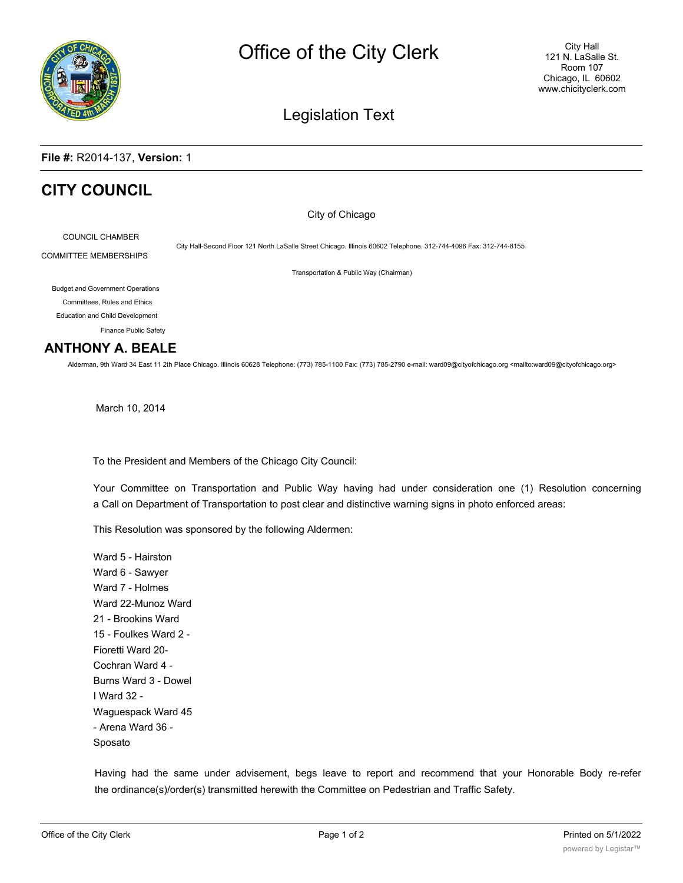

## Legislation Text

### **File #:** R2014-137, **Version:** 1

# **CITY COUNCIL**

City of Chicago

COUNCIL CHAMBER COMMITTEE MEMBERSHIPS

City Hall-Second Floor 121 North LaSalle Street Chicago. Illinois 60602 Telephone. 312-744-4096 Fax: 312-744-8155

Transportation & Public Way (Chairman)

Budget and Government Operations

Committees, Rules and Ethics Education and Child Development

Finance Public Safety

### **ANTHONY A. BEALE**

Alderman, 9th Ward 34 East 11 2th Place Chicago. Illinois 60628 Telephone: (773) 785-1100 Fax: (773) 785-2790 e-mail: ward09@cityofchicago.org <mailto:ward09@cityofchicago.org>

March 10, 2014

To the President and Members of the Chicago City Council:

Your Committee on Transportation and Public Way having had under consideration one (1) Resolution concerning a Call on Department of Transportation to post clear and distinctive warning signs in photo enforced areas:

This Resolution was sponsored by the following Aldermen:

Ward 5 - Hairston Ward 6 - Sawyer Ward 7 - Holmes Ward 22-Munoz Ward 21 - Brookins Ward 15 - Foulkes Ward 2 - Fioretti Ward 20- Cochran Ward 4 - Burns Ward 3 - Dowel I Ward 32 - Waguespack Ward 45 - Arena Ward 36 - Sposato

Having had the same under advisement, begs leave to report and recommend that your Honorable Body re-refer the ordinance(s)/order(s) transmitted herewith the Committee on Pedestrian and Traffic Safety.